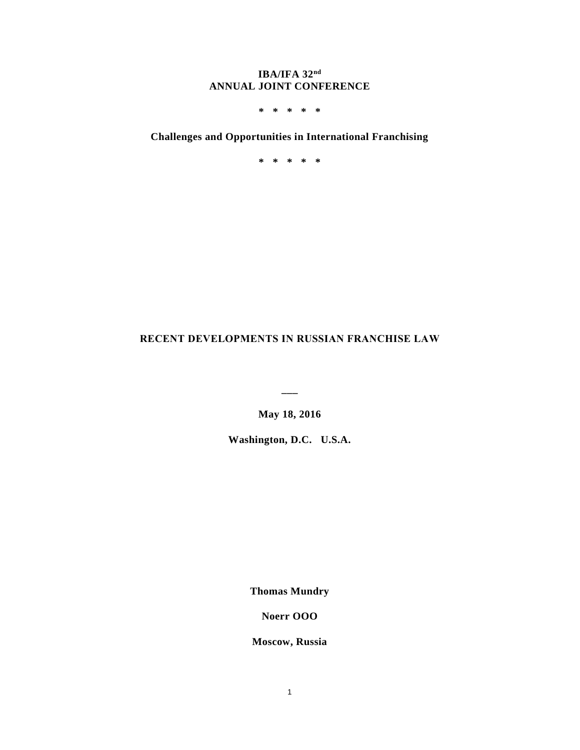## **IBA/IFA 32nd ANNUAL JOINT CONFERENCE**

**\* \* \* \* \***

# **Challenges and Opportunities in International Franchising**

**\* \* \* \* \***

# **RECENT DEVELOPMENTS IN RUSSIAN FRANCHISE LAW**

**May 18, 2016**

**\_\_\_**

**Washington, D.C. U.S.A.**

**Thomas Mundry**

**Noerr OOO**

**Moscow, Russia**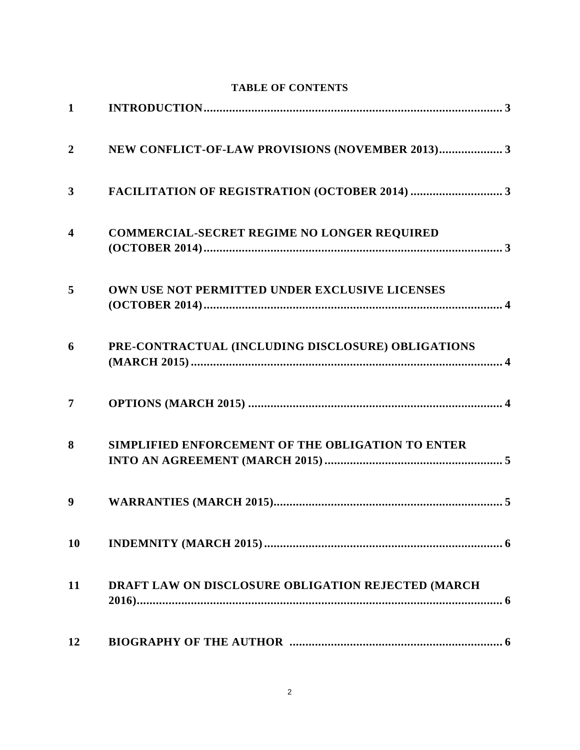|                         | TABLE OF CONTENTS                                  |
|-------------------------|----------------------------------------------------|
| $\mathbf 1$             |                                                    |
| $\overline{2}$          | NEW CONFLICT-OF-LAW PROVISIONS (NOVEMBER 2013) 3   |
| 3                       |                                                    |
| $\overline{\mathbf{4}}$ | <b>COMMERCIAL-SECRET REGIME NO LONGER REQUIRED</b> |
| 5                       | OWN USE NOT PERMITTED UNDER EXCLUSIVE LICENSES     |
| 6                       | PRE-CONTRACTUAL (INCLUDING DISCLOSURE) OBLIGATIONS |
| $\overline{7}$          |                                                    |
| 8                       | SIMPLIFIED ENFORCEMENT OF THE OBLIGATION TO ENTER  |
| 9                       |                                                    |
| 10                      |                                                    |
| 11                      | DRAFT LAW ON DISCLOSURE OBLIGATION REJECTED (MARCH |
| 12                      |                                                    |

# **TABLE OF CONTENTS**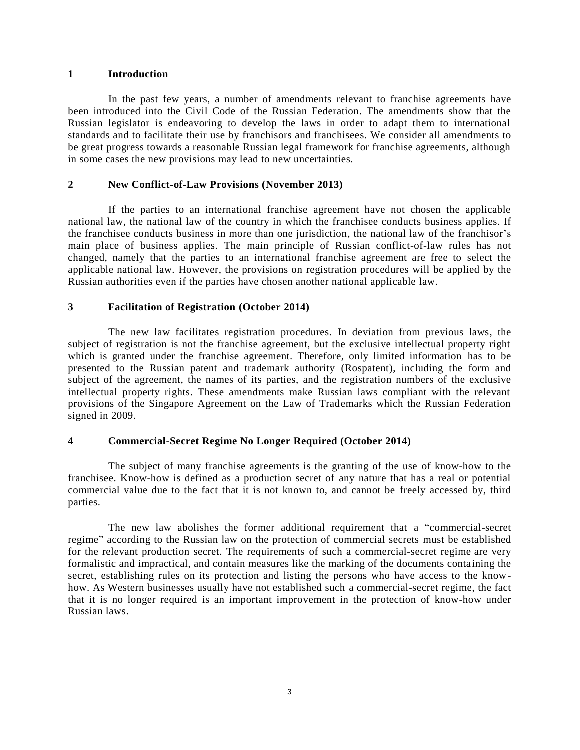#### <span id="page-2-0"></span>**1 Introduction**

In the past few years, a number of amendments relevant to franchise agreements have been introduced into the Civil Code of the Russian Federation. The amendments show that the Russian legislator is endeavoring to develop the laws in order to adapt them to international standards and to facilitate their use by franchisors and franchisees. We consider all amendments to be great progress towards a reasonable Russian legal framework for franchise agreements, although in some cases the new provisions may lead to new uncertainties.

#### <span id="page-2-1"></span>**2 New Conflict-of-Law Provisions (November 2013)**

If the parties to an international franchise agreement have not chosen the applicable national law, the national law of the country in which the franchisee conducts business applies. If the franchisee conducts business in more than one jurisdiction, the national law of the franchisor's main place of business applies. The main principle of Russian conflict-of-law rules has not changed, namely that the parties to an international franchise agreement are free to select the applicable national law. However, the provisions on registration procedures will be applied by the Russian authorities even if the parties have chosen another national applicable law.

#### <span id="page-2-2"></span>**3 Facilitation of Registration (October 2014)**

The new law facilitates registration procedures. In deviation from previous laws, the subject of registration is not the franchise agreement, but the exclusive intellectual property right which is granted under the franchise agreement. Therefore, only limited information has to be presented to the Russian patent and trademark authority (Rospatent), including the form and subject of the agreement, the names of its parties, and the registration numbers of the exclusive intellectual property rights. These amendments make Russian laws compliant with the relevant provisions of the Singapore Agreement on the Law of Trademarks which the Russian Federation signed in 2009.

#### <span id="page-2-3"></span>**4 Commercial-Secret Regime No Longer Required (October 2014)**

The subject of many franchise agreements is the granting of the use of know-how to the franchisee. Know-how is defined as a production secret of any nature that has a real or potential commercial value due to the fact that it is not known to, and cannot be freely accessed by, third parties.

The new law abolishes the former additional requirement that a "commercial-secret regime" according to the Russian law on the protection of commercial secrets must be established for the relevant production secret. The requirements of such a commercial-secret regime are very formalistic and impractical, and contain measures like the marking of the documents containing the secret, establishing rules on its protection and listing the persons who have access to the knowhow. As Western businesses usually have not established such a commercial-secret regime, the fact that it is no longer required is an important improvement in the protection of know-how under Russian laws.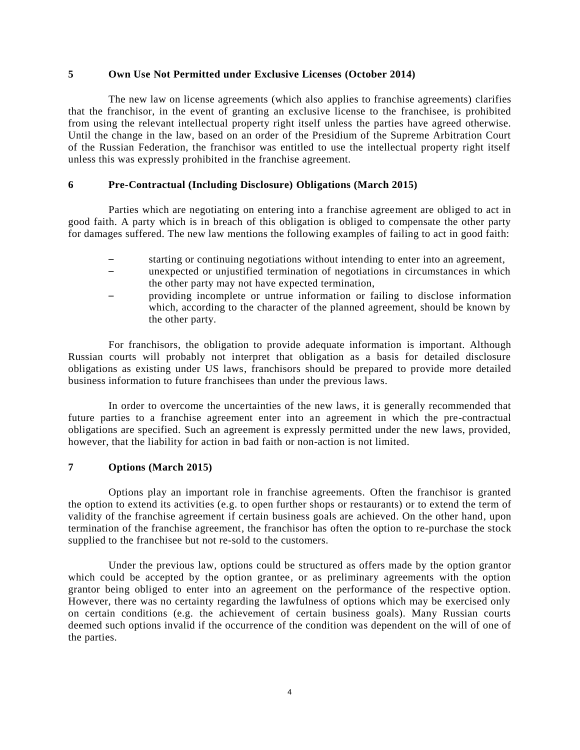#### <span id="page-3-0"></span>**5 Own Use Not Permitted under Exclusive Licenses (October 2014)**

The new law on license agreements (which also applies to franchise agreements) clarifies that the franchisor, in the event of granting an exclusive license to the franchisee, is prohibited from using the relevant intellectual property right itself unless the parties have agreed otherwise. Until the change in the law, based on an order of the Presidium of the Supreme Arbitration Court of the Russian Federation, the franchisor was entitled to use the intellectual property right itself unless this was expressly prohibited in the franchise agreement.

#### <span id="page-3-1"></span>**6 Pre-Contractual (Including Disclosure) Obligations (March 2015)**

Parties which are negotiating on entering into a franchise agreement are obliged to act in good faith. A party which is in breach of this obligation is obliged to compensate the other party for damages suffered. The new law mentions the following examples of failing to act in good faith:

- starting or continuing negotiations without intending to enter into an agreement,
- unexpected or unjustified termination of negotiations in circumstances in which the other party may not have expected termination,
- providing incomplete or untrue information or failing to disclose information which, according to the character of the planned agreement, should be known by the other party.

For franchisors, the obligation to provide adequate information is important. Although Russian courts will probably not interpret that obligation as a basis for detailed disclosure obligations as existing under US laws, franchisors should be prepared to provide more detailed business information to future franchisees than under the previous laws.

In order to overcome the uncertainties of the new laws, it is generally recommended that future parties to a franchise agreement enter into an agreement in which the pre-contractual obligations are specified. Such an agreement is expressly permitted under the new laws, provided, however, that the liability for action in bad faith or non-action is not limited.

#### <span id="page-3-2"></span>**7 Options (March 2015)**

Options play an important role in franchise agreements. Often the franchisor is granted the option to extend its activities (e.g. to open further shops or restaurants) or to extend the term of validity of the franchise agreement if certain business goals are achieved. On the other hand, upon termination of the franchise agreement, the franchisor has often the option to re-purchase the stock supplied to the franchisee but not re-sold to the customers.

Under the previous law, options could be structured as offers made by the option grantor which could be accepted by the option grantee, or as preliminary agreements with the option grantor being obliged to enter into an agreement on the performance of the respective option. However, there was no certainty regarding the lawfulness of options which may be exercised only on certain conditions (e.g. the achievement of certain business goals). Many Russian courts deemed such options invalid if the occurrence of the condition was dependent on the will of one of the parties.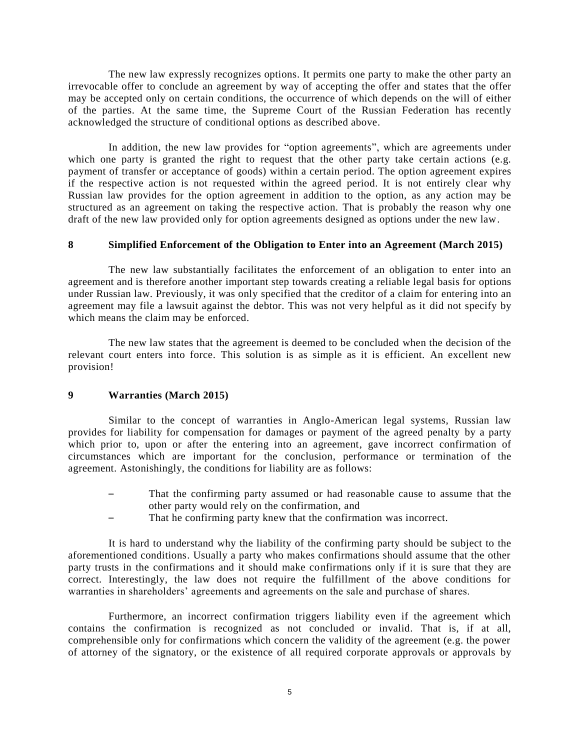The new law expressly recognizes options. It permits one party to make the other party an irrevocable offer to conclude an agreement by way of accepting the offer and states that the offer may be accepted only on certain conditions, the occurrence of which depends on the will of either of the parties. At the same time, the Supreme Court of the Russian Federation has recently acknowledged the structure of conditional options as described above.

In addition, the new law provides for "option agreements", which are agreements under which one party is granted the right to request that the other party take certain actions (e.g. payment of transfer or acceptance of goods) within a certain period. The option agreement expires if the respective action is not requested within the agreed period. It is not entirely clear why Russian law provides for the option agreement in addition to the option, as any action may be structured as an agreement on taking the respective action. That is probably the reason why one draft of the new law provided only for option agreements designed as options under the new law.

#### <span id="page-4-0"></span>**8 Simplified Enforcement of the Obligation to Enter into an Agreement (March 2015)**

The new law substantially facilitates the enforcement of an obligation to enter into an agreement and is therefore another important step towards creating a reliable legal basis for options under Russian law. Previously, it was only specified that the creditor of a claim for entering into an agreement may file a lawsuit against the debtor. This was not very helpful as it did not specify by which means the claim may be enforced.

The new law states that the agreement is deemed to be concluded when the decision of the relevant court enters into force. This solution is as simple as it is efficient. An excellent new provision!

### <span id="page-4-1"></span>**9 Warranties (March 2015)**

Similar to the concept of warranties in Anglo-American legal systems, Russian law provides for liability for compensation for damages or payment of the agreed penalty by a party which prior to, upon or after the entering into an agreement, gave incorrect confirmation of circumstances which are important for the conclusion, performance or termination of the agreement. Astonishingly, the conditions for liability are as follows:

- That the confirming party assumed or had reasonable cause to assume that the other party would rely on the confirmation, and
- That he confirming party knew that the confirmation was incorrect.

It is hard to understand why the liability of the confirming party should be subject to the aforementioned conditions. Usually a party who makes confirmations should assume that the other party trusts in the confirmations and it should make confirmations only if it is sure that they are correct. Interestingly, the law does not require the fulfillment of the above conditions for warranties in shareholders' agreements and agreements on the sale and purchase of shares.

Furthermore, an incorrect confirmation triggers liability even if the agreement which contains the confirmation is recognized as not concluded or invalid. That is, if at all, comprehensible only for confirmations which concern the validity of the agreement (e.g. the power of attorney of the signatory, or the existence of all required corporate approvals or approvals by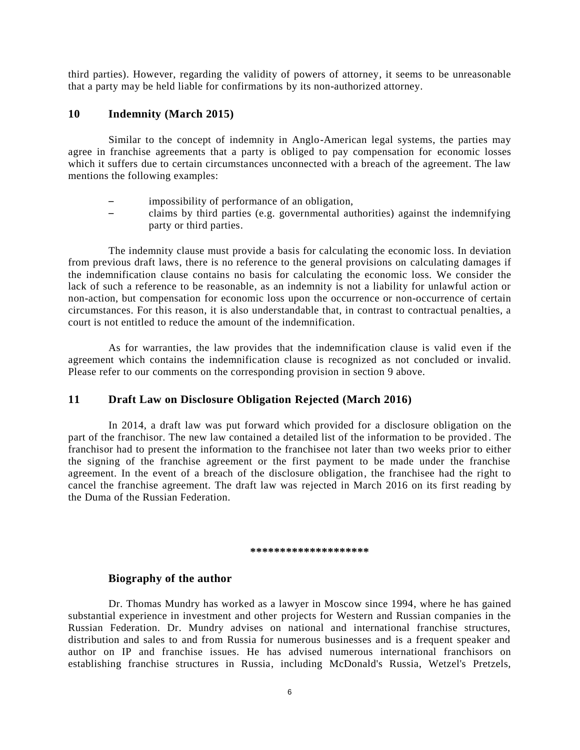third parties). However, regarding the validity of powers of attorney, it seems to be unreasonable that a party may be held liable for confirmations by its non-authorized attorney.

### <span id="page-5-0"></span>**10 Indemnity (March 2015)**

Similar to the concept of indemnity in Anglo-American legal systems, the parties may agree in franchise agreements that a party is obliged to pay compensation for economic losses which it suffers due to certain circumstances unconnected with a breach of the agreement. The law mentions the following examples:

- impossibility of performance of an obligation,
- claims by third parties (e.g. governmental authorities) against the indemnifying party or third parties.

The indemnity clause must provide a basis for calculating the economic loss. In deviation from previous draft laws, there is no reference to the general provisions on calculating damages if the indemnification clause contains no basis for calculating the economic loss. We consider the lack of such a reference to be reasonable, as an indemnity is not a liability for unlawful action or non-action, but compensation for economic loss upon the occurrence or non-occurrence of certain circumstances. For this reason, it is also understandable that, in contrast to contractual penalties, a court is not entitled to reduce the amount of the indemnification.

As for warranties, the law provides that the indemnification clause is valid even if the agreement which contains the indemnification clause is recognized as not concluded or invalid. Please refer to our comments on the corresponding provision in section [9](#page-4-1) above.

#### <span id="page-5-1"></span>**11 Draft Law on Disclosure Obligation Rejected (March 2016)**

In 2014, a draft law was put forward which provided for a disclosure obligation on the part of the franchisor. The new law contained a detailed list of the information to be provided . The franchisor had to present the information to the franchisee not later than two weeks prior to either the signing of the franchise agreement or the first payment to be made under the franchise agreement. In the event of a breach of the disclosure obligation, the franchisee had the right to cancel the franchise agreement. The draft law was rejected in March 2016 on its first reading by the Duma of the Russian Federation.

#### **\*\*\*\*\*\*\*\*\*\*\*\*\*\*\*\*\*\*\*\***

# <span id="page-5-2"></span>**Biography of the author**

Dr. Thomas Mundry has worked as a lawyer in Moscow since 1994, where he has gained substantial experience in investment and other projects for Western and Russian companies in the Russian Federation. Dr. Mundry advises on national and international franchise structures, distribution and sales to and from Russia for numerous businesses and is a frequent speaker and author on IP and franchise issues. He has advised numerous international franchisors on establishing franchise structures in Russia, including McDonald's Russia, Wetzel's Pretzels,